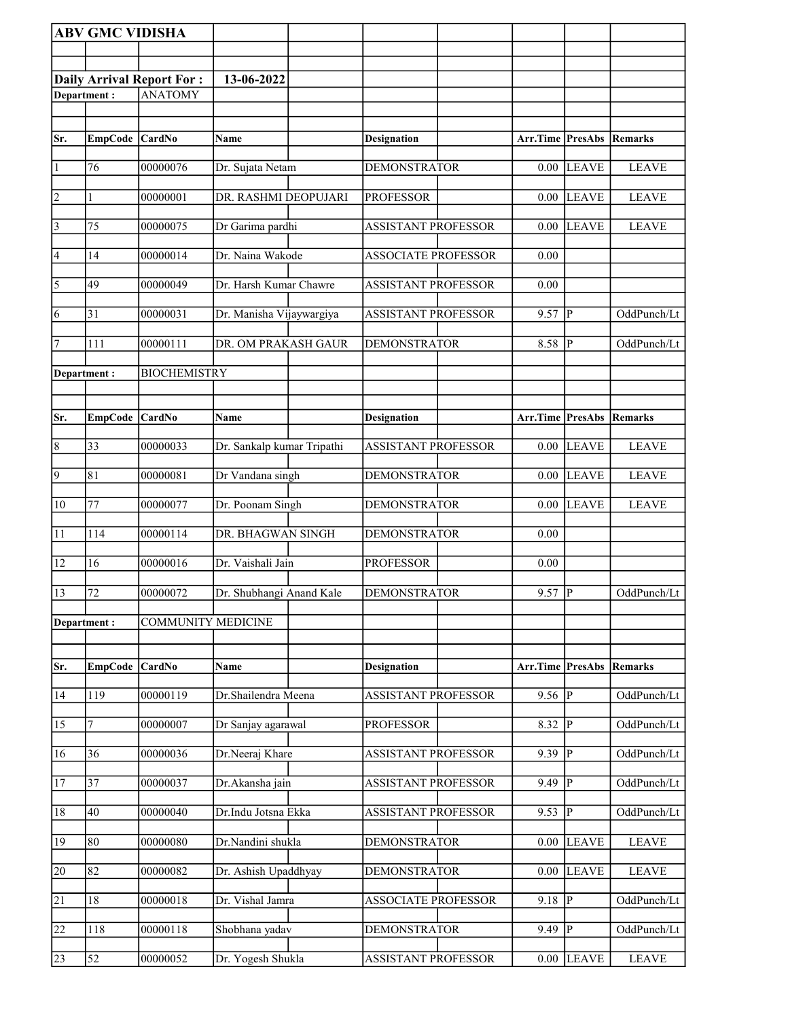|                         | <b>ABV GMC VIDISHA</b> |                                  |                            |                            |                         |                         |                |
|-------------------------|------------------------|----------------------------------|----------------------------|----------------------------|-------------------------|-------------------------|----------------|
|                         |                        |                                  |                            |                            |                         |                         |                |
|                         |                        | <b>Daily Arrival Report For:</b> | 13-06-2022                 |                            |                         |                         |                |
|                         | Department:            | <b>ANATOMY</b>                   |                            |                            |                         |                         |                |
|                         |                        |                                  |                            |                            |                         |                         |                |
| Sr.                     | <b>EmpCode</b>         | CardNo                           | Name                       | <b>Designation</b>         | Arr.Time PresAbs        |                         | Remarks        |
|                         |                        |                                  |                            |                            |                         |                         |                |
| $\vert$ 1               | 76                     | 00000076                         | Dr. Sujata Netam           | <b>DEMONSTRATOR</b>        | 0.00                    | LEAVE                   | <b>LEAVE</b>   |
| $\vert$ 2               |                        | 00000001                         | DR. RASHMI DEOPUJARI       | <b>PROFESSOR</b>           | 0.00                    | <b>LEAVE</b>            | <b>LEAVE</b>   |
| $\overline{\mathbf{3}}$ | 75                     | 00000075                         | Dr Garima pardhi           | <b>ASSISTANT PROFESSOR</b> | $0.00\,$                | <b>LEAVE</b>            | <b>LEAVE</b>   |
| 4                       | 14                     | 00000014                         | Dr. Naina Wakode           | <b>ASSOCIATE PROFESSOR</b> | 0.00                    |                         |                |
| $\overline{\sqrt{5}}$   | 49                     | 00000049                         | Dr. Harsh Kumar Chawre     | <b>ASSISTANT PROFESSOR</b> | 0.00                    |                         |                |
| 6                       | 31                     | 00000031                         | Dr. Manisha Vijaywargiya   | <b>ASSISTANT PROFESSOR</b> | $9.57$ P                |                         | OddPunch/Lt    |
| $\vert$ 7               | 111                    | 00000111                         | DR. OM PRAKASH GAUR        | <b>DEMONSTRATOR</b>        | $8.58$ P                |                         | OddPunch/Lt    |
|                         | Department:            | <b>BIOCHEMISTRY</b>              |                            |                            |                         |                         |                |
|                         |                        |                                  |                            |                            |                         |                         |                |
| Sr.                     | <b>EmpCode</b>         | CardNo                           | Name                       | <b>Designation</b>         | Arr.Time PresAbs        |                         | Remarks        |
| $\vert 8$               | $\overline{33}$        | 00000033                         | Dr. Sankalp kumar Tripathi | <b>ASSISTANT PROFESSOR</b> | 0.00                    | <b>LEAVE</b>            | <b>LEAVE</b>   |
| $\overline{9}$          | 81                     | 00000081                         | Dr Vandana singh           | <b>DEMONSTRATOR</b>        | 0.00                    | <b>LEAVE</b>            | <b>LEAVE</b>   |
| 10                      | 77                     | 00000077                         | Dr. Poonam Singh           | <b>DEMONSTRATOR</b>        | $0.00\,$                | <b>LEAVE</b>            | <b>LEAVE</b>   |
| 11                      | 114                    | 00000114                         | DR. BHAGWAN SINGH          | <b>DEMONSTRATOR</b>        | 0.00                    |                         |                |
| 12                      | 16                     | 00000016                         | Dr. Vaishali Jain          | <b>PROFESSOR</b>           | 0.00                    |                         |                |
| 13                      | 72                     | 00000072                         | Dr. Shubhangi Anand Kale   | <b>DEMONSTRATOR</b>        | $9.57$ P                |                         | OddPunch/Lt    |
|                         | Department:            | <b>COMMUNITY MEDICINE</b>        |                            |                            |                         |                         |                |
|                         |                        |                                  |                            |                            |                         |                         |                |
| Sr.                     | <b>EmpCode</b>         | CardNo                           | Name                       | <b>Designation</b>         | <b>Arr.Time PresAbs</b> |                         | <b>Remarks</b> |
| 14                      | 119                    | 00000119                         | Dr.Shailendra Meena        | <b>ASSISTANT PROFESSOR</b> | 9.56                    | P                       | OddPunch/Lt    |
| 15                      | 7                      | 00000007                         | Dr Sanjay agarawal         | <b>PROFESSOR</b>           | 8.32                    | P                       | OddPunch/Lt    |
| 16                      | 36                     | 00000036                         | Dr.Neeraj Khare            | ASSISTANT PROFESSOR        | $9.39$ P                |                         | OddPunch/Lt    |
| 17                      | 37                     | 00000037                         | Dr.Akansha jain            | <b>ASSISTANT PROFESSOR</b> | 9.49                    | P                       | OddPunch/Lt    |
| 18                      | 40                     | 00000040                         | Dr.Indu Jotsna Ekka        | <b>ASSISTANT PROFESSOR</b> | 9.53                    | lР                      | OddPunch/Lt    |
| 19                      | 80                     | 00000080                         | Dr.Nandini shukla          | <b>DEMONSTRATOR</b>        | 0.00                    | LEAVE                   | <b>LEAVE</b>   |
| 20                      | 82                     | 00000082                         | Dr. Ashish Upaddhyay       | <b>DEMONSTRATOR</b>        | 0.00                    | <b>LEAVE</b>            | <b>LEAVE</b>   |
| 21                      | 18                     | 00000018                         | Dr. Vishal Jamra           | ASSOCIATE PROFESSOR        | 9.18                    | $\overline{\mathbb{P}}$ | OddPunch/Lt    |
| 22                      | 118                    | 00000118                         | Shobhana yadav             | <b>DEMONSTRATOR</b>        | 9.49                    | P                       | OddPunch/Lt    |
| 23                      | 52                     | 00000052                         | Dr. Yogesh Shukla          | <b>ASSISTANT PROFESSOR</b> | $0.00\,$                | <b>LEAVE</b>            | <b>LEAVE</b>   |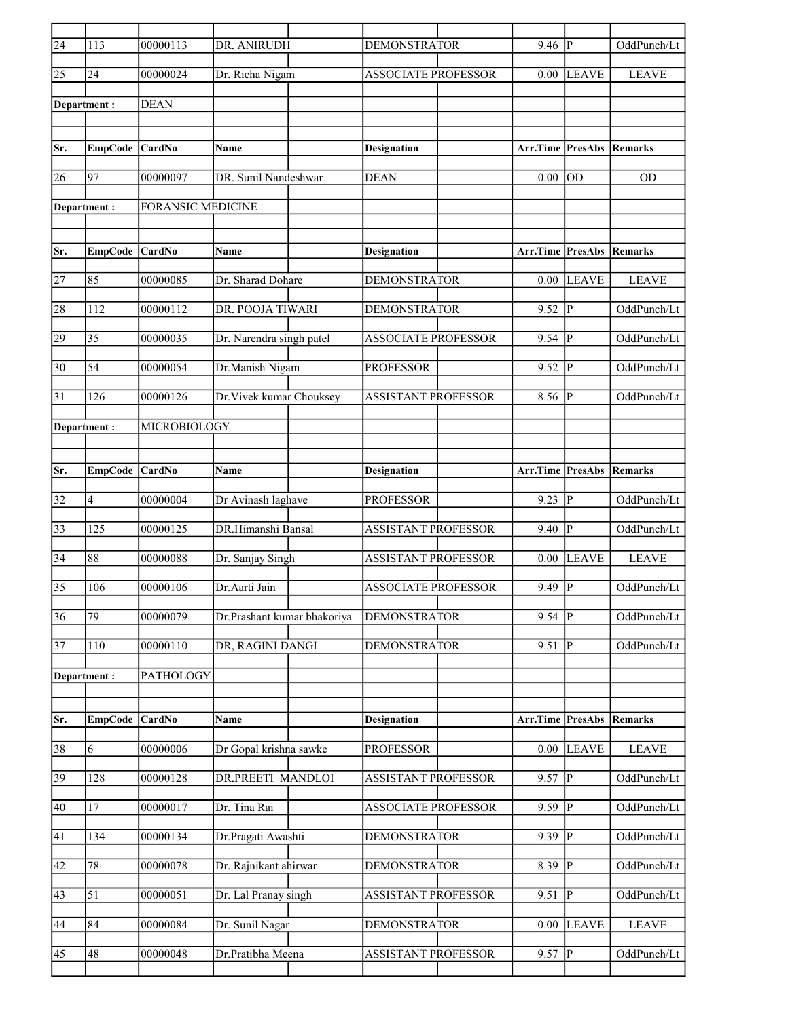| $\sqrt{24}$     | 113             | 00000113                 | DR. ANIRUDH                 | <b>DEMONSTRATOR</b>        | 9.46                    | lР             | OddPunch/Lt    |
|-----------------|-----------------|--------------------------|-----------------------------|----------------------------|-------------------------|----------------|----------------|
| 25              | 24              | 00000024                 | Dr. Richa Nigam             | <b>ASSOCIATE PROFESSOR</b> | 0.00                    | <b>LEAVE</b>   | <b>LEAVE</b>   |
| Department:     |                 | <b>DEAN</b>              |                             |                            |                         |                |                |
|                 |                 |                          |                             |                            |                         |                |                |
| Sr.             | <b>EmpCode</b>  | CardNo                   | Name                        | <b>Designation</b>         | <b>Arr.Time PresAbs</b> |                | <b>Remarks</b> |
| 26              | 97              | 00000097                 | DR. Sunil Nandeshwar        | <b>DEAN</b>                | 0.00                    | OD             | <b>OD</b>      |
|                 | Department:     | <b>FORANSIC MEDICINE</b> |                             |                            |                         |                |                |
|                 |                 |                          |                             |                            |                         |                |                |
| Sr.             | <b>EmpCode</b>  | CardNo                   | Name                        | <b>Designation</b>         | <b>Arr.Time PresAbs</b> |                | <b>Remarks</b> |
| $\overline{27}$ | 85              | 00000085                 | Dr. Sharad Dohare           | <b>DEMONSTRATOR</b>        | 0.00                    | <b>LEAVE</b>   | <b>LEAVE</b>   |
| 28              | 112             | 00000112                 | DR. POOJA TIWARI            | <b>DEMONSTRATOR</b>        | 9.52                    | P              | OddPunch/Lt    |
| 29              | $\overline{35}$ | 00000035                 | Dr. Narendra singh patel    | <b>ASSOCIATE PROFESSOR</b> | 9.54                    | ∣P             | OddPunch/Lt    |
| 30              | 54              | 00000054                 | Dr.Manish Nigam             | <b>PROFESSOR</b>           | 9.52                    | ∣P             | OddPunch/Lt    |
| 31              | 126             | 00000126                 | Dr. Vivek kumar Chouksey    | ASSISTANT PROFESSOR        | 8.56                    | lР             | OddPunch/Lt    |
|                 |                 |                          |                             |                            |                         |                |                |
| Department :    |                 | MICROBIOLOGY             |                             |                            |                         |                |                |
|                 |                 |                          |                             |                            |                         |                |                |
| Sr.             | <b>EmpCode</b>  | <b>CardNo</b>            | Name                        | Designation                | Arr.Time PresAbs        |                | <b>Remarks</b> |
| 32              | 4               | 00000004                 | Dr Avinash laghave          | <b>PROFESSOR</b>           | 9.23                    | P              | OddPunch/Lt    |
| 33              | 125             | 00000125                 | DR.Himanshi Bansal          | ASSISTANT PROFESSOR        | 9.40                    | lР             | OddPunch/Lt    |
| 34              | 88              | 00000088                 | Dr. Sanjay Singh            | <b>ASSISTANT PROFESSOR</b> | 0.00                    | <b>LEAVE</b>   | <b>LEAVE</b>   |
| 35              | 106             | 00000106                 | Dr.Aarti Jain               | <b>ASSOCIATE PROFESSOR</b> | 9.49                    | $\overline{P}$ | OddPunch/Lt    |
| $\overline{36}$ | $\overline{79}$ | 00000079                 | Dr.Prashant kumar bhakoriya | <b>DEMONSTRATOR</b>        | $9.54$ P                |                | OddPunch/Lt    |
| 37              | 110             | 00000110                 | DR, RAGINI DANGI            | <b>DEMONSTRATOR</b>        | 9.51  P                 |                | OddPunch/Lt    |
| Department:     |                 | PATHOLOGY                |                             |                            |                         |                |                |
|                 |                 |                          |                             |                            |                         |                |                |
| Sr.             | <b>EmpCode</b>  | CardNo                   | Name                        | <b>Designation</b>         | Arr.Time PresAbs        |                | <b>Remarks</b> |
| 38              | 6               | 00000006                 | Dr Gopal krishna sawke      | <b>PROFESSOR</b>           | 0.00                    | LEAVE          | <b>LEAVE</b>   |
| 39              | 128             | 00000128                 | DR.PREETI MANDLOI           | <b>ASSISTANT PROFESSOR</b> | $9.57$ P                |                | OddPunch/Lt    |
| 40              | 17              | 00000017                 | Dr. Tina Rai                | <b>ASSOCIATE PROFESSOR</b> | 9.59                    | P              | OddPunch/Lt    |
| 41              | 134             | 00000134                 | Dr.Pragati Awashti          | DEMONSTRATOR               | $9.39$ P                |                | OddPunch/Lt    |
| 42              | 78              | 00000078                 | Dr. Rajnikant ahirwar       | <b>DEMONSTRATOR</b>        | 8.39                    | P              | OddPunch/Lt    |
| 43              | 51              | 00000051                 | Dr. Lal Pranay singh        | ASSISTANT PROFESSOR        | 9.51                    | P              | OddPunch/Lt    |
|                 |                 |                          |                             |                            |                         |                |                |
| 44              | 84              | 00000084                 | Dr. Sunil Nagar             | <b>DEMONSTRATOR</b>        | 0.00                    | <b>LEAVE</b>   | <b>LEAVE</b>   |
| $ 45\rangle$    | 48              | 00000048                 | Dr.Pratibha Meena           | ASSISTANT PROFESSOR        | $9.57$ $\overline{P}$   |                | OddPunch/Lt    |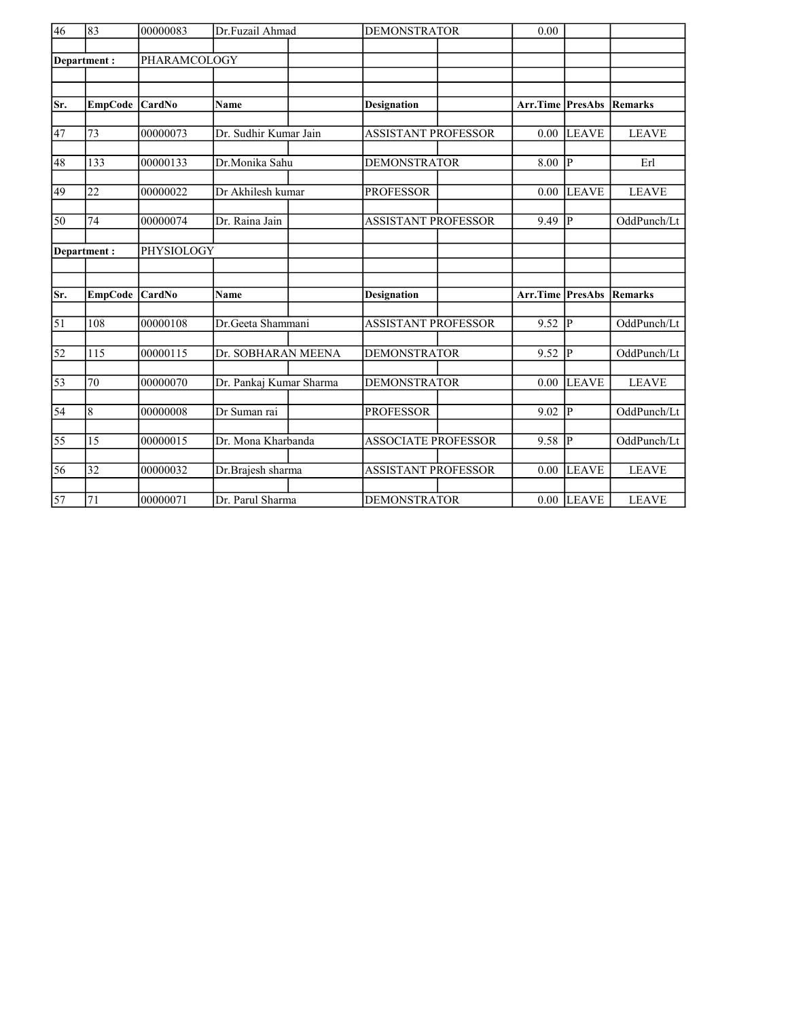| $\overline{46}$<br>83 |                 | 00000083     | Dr.Fuzail Ahmad         | <b>DEMONSTRATOR</b>        | 0.00                    |                         |              |
|-----------------------|-----------------|--------------|-------------------------|----------------------------|-------------------------|-------------------------|--------------|
|                       |                 |              |                         |                            |                         |                         |              |
|                       | Department:     | PHARAMCOLOGY |                         |                            |                         |                         |              |
|                       |                 |              |                         |                            |                         |                         |              |
|                       |                 |              |                         |                            |                         |                         |              |
| Sr.                   | <b>EmpCode</b>  | CardNo       | Name                    | <b>Designation</b>         | <b>Arr.Time PresAbs</b> |                         | Remarks      |
|                       |                 |              |                         |                            |                         |                         |              |
| 47                    | 73              | 00000073     | Dr. Sudhir Kumar Jain   | <b>ASSISTANT PROFESSOR</b> | 0.00                    | <b>LEAVE</b>            | <b>LEAVE</b> |
|                       |                 |              |                         |                            |                         | lР                      |              |
| 48                    | 133             | 00000133     | Dr.Monika Sahu          | <b>DEMONSTRATOR</b>        | 8.00                    |                         | Erl          |
| 49                    | 22              | 00000022     | Dr Akhilesh kumar       | <b>PROFESSOR</b>           | 0.00                    | <b>LEAVE</b>            | <b>LEAVE</b> |
|                       |                 |              |                         |                            |                         |                         |              |
| 50                    | 74              | 00000074     | Dr. Raina Jain          | <b>ASSISTANT PROFESSOR</b> | 9.49                    | lР                      | OddPunch/Lt  |
|                       |                 |              |                         |                            |                         |                         |              |
|                       | Department:     | PHYSIOLOGY   |                         |                            |                         |                         |              |
|                       |                 |              |                         |                            |                         |                         |              |
|                       |                 |              |                         |                            |                         |                         |              |
| Sr.                   | <b>EmpCode</b>  | CardNo       | Name                    | Designation                | Arr.Time                | PresAbs                 | Remarks      |
| $\vert$ 51            | 108             | 00000108     | Dr.Geeta Shammani       | <b>ASSISTANT PROFESSOR</b> | 9.52                    | $\overline{P}$          | OddPunch/Lt  |
|                       |                 |              |                         |                            |                         |                         |              |
| 52                    | 115             | 00000115     | Dr. SOBHARAN MEENA      | <b>DEMONSTRATOR</b>        | 9.52                    | $\overline{P}$          | OddPunch/Lt  |
|                       |                 |              |                         |                            |                         |                         |              |
| 53                    | 70              | 00000070     | Dr. Pankaj Kumar Sharma | <b>DEMONSTRATOR</b>        | 0.00                    | <b>LEAVE</b>            | <b>LEAVE</b> |
| $\overline{54}$       | 8               | 00000008     | Dr Suman rai            | <b>PROFESSOR</b>           | 9.02                    | $\overline{\mathbf{P}}$ | OddPunch/Lt  |
|                       |                 |              |                         |                            |                         |                         |              |
| $\overline{55}$       | 15              | 00000015     | Dr. Mona Kharbanda      | <b>ASSOCIATE PROFESSOR</b> | 9.58                    | lР                      | OddPunch/Lt  |
|                       |                 |              |                         |                            |                         |                         |              |
| $\overline{56}$       | $\overline{32}$ | 00000032     | Dr.Brajesh sharma       | <b>ASSISTANT PROFESSOR</b> | 0.00                    | LEAVE                   | <b>LEAVE</b> |
|                       |                 |              |                         |                            |                         |                         |              |
| $\overline{57}$       | 71              | 00000071     | Dr. Parul Sharma        | <b>DEMONSTRATOR</b>        |                         | $0.00$ LEAVE            | <b>LEAVE</b> |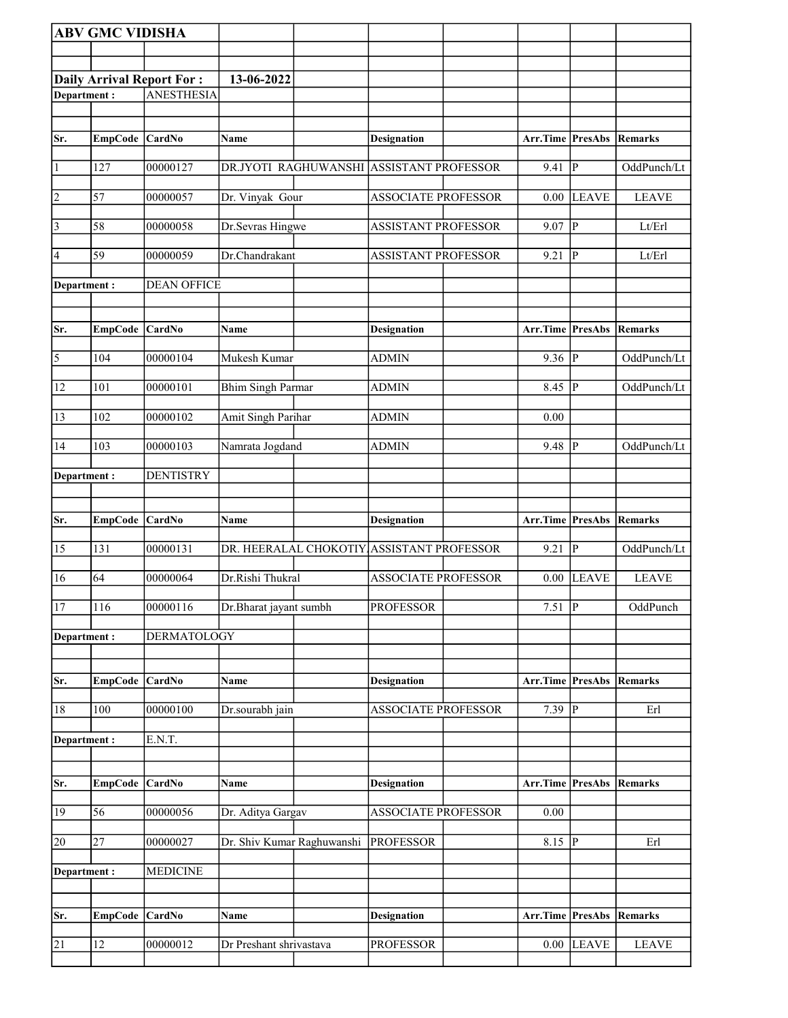|                         | <b>ABV GMC VIDISHA</b> |                                  |                            |                                           |                                 |                        |                        |
|-------------------------|------------------------|----------------------------------|----------------------------|-------------------------------------------|---------------------------------|------------------------|------------------------|
|                         |                        |                                  |                            |                                           |                                 |                        |                        |
|                         |                        | <b>Daily Arrival Report For:</b> | 13-06-2022                 |                                           |                                 |                        |                        |
| Department:             |                        | <b>ANESTHESIA</b>                |                            |                                           |                                 |                        |                        |
|                         |                        |                                  |                            |                                           |                                 |                        |                        |
|                         |                        |                                  |                            |                                           |                                 |                        |                        |
| Sr.                     | EmpCode CardNo         |                                  | Name                       | <b>Designation</b>                        | Arr.Time                        | <b>PresAbs Remarks</b> |                        |
| $\vert$ 1               | 127                    | 00000127                         | DR.JYOTI RAGHUWANSHI       | <b>ASSISTANT PROFESSOR</b>                | 9.41                            | $\mathbf{P}$           | OddPunch/Lt            |
| $\vert$ 2               | 57                     | 00000057                         | Dr. Vinyak Gour            | <b>ASSOCIATE PROFESSOR</b>                | 0.00                            | <b>LEAVE</b>           | <b>LEAVE</b>           |
| $\vert$ 3               | 58                     | 00000058                         | Dr.Sevras Hingwe           | <b>ASSISTANT PROFESSOR</b>                | 9.07                            | P                      | Lt/Erl                 |
| 4                       | 59                     | 00000059                         | Dr.Chandrakant             | <b>ASSISTANT PROFESSOR</b>                | 9.21                            | $\overline{P}$         | Lt/Erl                 |
| Department:             |                        | <b>DEAN OFFICE</b>               |                            |                                           |                                 |                        |                        |
| Sr.                     | EmpCode CardNo         |                                  | <b>Name</b>                | <b>Designation</b>                        | <b>Arr.Time PresAbs Remarks</b> |                        |                        |
| $\overline{\mathbf{5}}$ | 104                    | 00000104                         | Mukesh Kumar               | <b>ADMIN</b>                              | 9.36                            | P                      | OddPunch/Lt            |
|                         |                        |                                  |                            |                                           |                                 |                        |                        |
| 12                      | 101                    | 00000101                         | <b>Bhim Singh Parmar</b>   | <b>ADMIN</b>                              | 8.45                            | P                      | OddPunch/Lt            |
| 13                      | 102                    | 00000102                         | <b>Amit Singh Parihar</b>  | <b>ADMIN</b>                              | 0.00                            |                        |                        |
| 14                      | 103                    | 00000103                         | Namrata Jogdand            | <b>ADMIN</b>                              | 9.48                            | P                      | OddPunch/Lt            |
| Department:             |                        | <b>DENTISTRY</b>                 |                            |                                           |                                 |                        |                        |
|                         |                        |                                  |                            |                                           |                                 |                        |                        |
|                         |                        |                                  |                            |                                           |                                 |                        |                        |
| Sr.                     | <b>EmpCode</b>         | <b>CardNo</b>                    | Name                       | <b>Designation</b>                        | Arr.Time                        | <b>PresAbs</b>         | Remarks                |
| 15                      | 131                    | 00000131                         |                            | DR. HEERALAL CHOKOTIY ASSISTANT PROFESSOR | 9.21                            | $\bf P$                | OddPunch/Lt            |
| 16                      | 64                     | 00000064                         | Dr.Rishi Thukral           | <b>ASSOCIATE PROFESSOR</b>                | 0.00                            | <b>LEAVE</b>           | <b>LEAVE</b>           |
| 17                      | 116                    | 00000116                         | Dr.Bharat jayant sumbh     | <b>PROFESSOR</b>                          | $7.51$ P                        |                        | OddPunch               |
| Department:             |                        | DERMATOLOGY                      |                            |                                           |                                 |                        |                        |
| Sr.                     | <b>EmpCode</b>         | CardNo                           | Name                       | <b>Designation</b>                        | Arr.Time                        | <b>PresAbs</b>         | Remarks                |
| 18                      | 100                    | 00000100                         | Dr.sourabh jain            | <b>ASSOCIATE PROFESSOR</b>                | 7.39                            | ${\bf P}$              | Erl                    |
|                         |                        |                                  |                            |                                           |                                 |                        |                        |
| Department :            |                        | E.N.T.                           |                            |                                           |                                 |                        |                        |
| Sr.                     | EmpCode CardNo         |                                  | Name                       | <b>Designation</b>                        | <b>Arr.Time PresAbs Remarks</b> |                        |                        |
| 19                      | 56                     | 00000056                         | Dr. Aditya Gargav          | <b>ASSOCIATE PROFESSOR</b>                | 0.00                            |                        |                        |
| 20                      | 27                     | 00000027                         | Dr. Shiv Kumar Raghuwanshi | <b>PROFESSOR</b>                          | 8.15 $\overline{P}$             |                        | Erl                    |
| Department:             |                        | <b>MEDICINE</b>                  |                            |                                           |                                 |                        |                        |
|                         |                        |                                  |                            |                                           |                                 |                        |                        |
| Sr.                     | EmpCode CardNo         |                                  | Name                       | <b>Designation</b>                        | Arr.Time                        |                        | <b>PresAbs Remarks</b> |
| 21                      | 12                     | 00000012                         | Dr Preshant shrivastava    | <b>PROFESSOR</b>                          | $0.00\,$                        | <b>LEAVE</b>           | <b>LEAVE</b>           |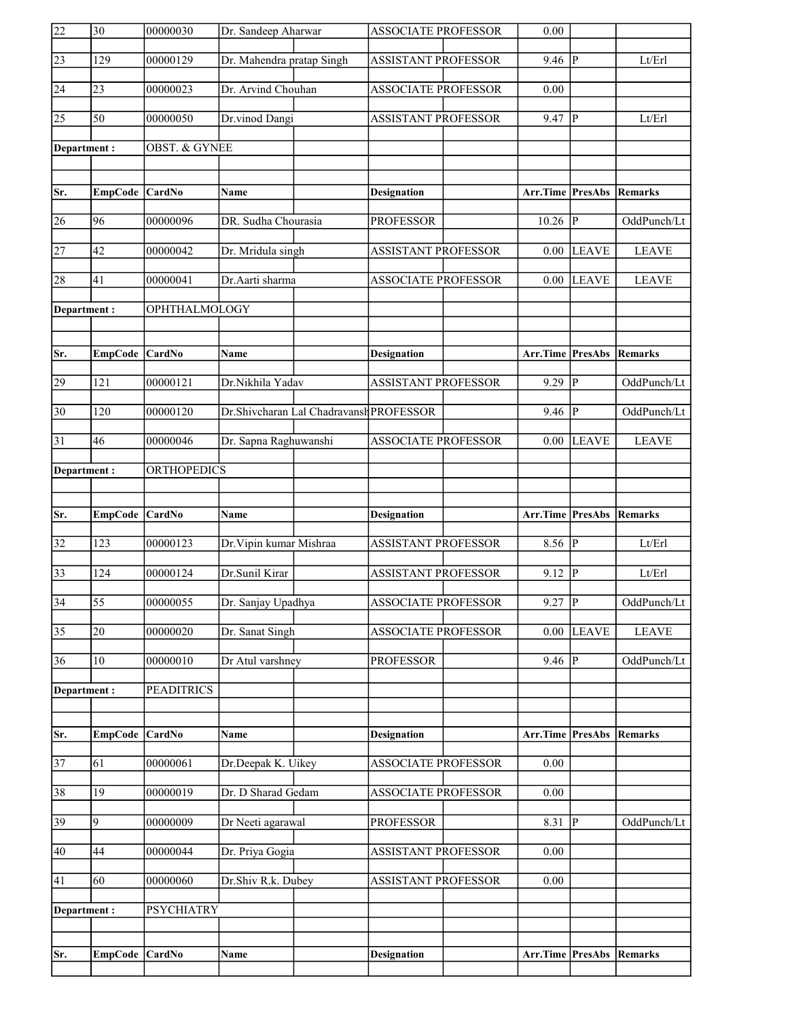| 22              | 30              | 00000030                 | Dr. Sandeep Aharwar                      | <b>ASSOCIATE PROFESSOR</b> | 0.00                            |                        |                            |
|-----------------|-----------------|--------------------------|------------------------------------------|----------------------------|---------------------------------|------------------------|----------------------------|
| $\sqrt{23}$     | 129             | 00000129                 | Dr. Mahendra pratap Singh                | <b>ASSISTANT PROFESSOR</b> | 9.46                            | P                      | Lt/Erl                     |
| 24              | 23              | 00000023                 | Dr. Arvind Chouhan                       | <b>ASSOCIATE PROFESSOR</b> | 0.00                            |                        |                            |
| 25              | 50              | 00000050                 | Dr.vinod Dangi                           | <b>ASSISTANT PROFESSOR</b> | 9.47                            | P                      | Lt/Erl                     |
| Department:     |                 | <b>OBST. &amp; GYNEE</b> |                                          |                            |                                 |                        |                            |
|                 |                 |                          |                                          |                            |                                 |                        |                            |
| Sr.             | EmpCode CardNo  |                          | <b>Name</b>                              | <b>Designation</b>         | Arr.Time PresAbs Remarks        |                        |                            |
| 26              | 96              | 00000096                 | DR. Sudha Chourasia                      | <b>PROFESSOR</b>           | 10.26                           | P                      | OddPunch/Lt                |
| 27              | 42              | 00000042                 | Dr. Mridula singh                        | <b>ASSISTANT PROFESSOR</b> | 0.00                            | <b>LEAVE</b>           | <b>LEAVE</b>               |
| 28              | 41              | 00000041                 | Dr.Aarti sharma                          | <b>ASSOCIATE PROFESSOR</b> | $0.00\,$                        | <b>LEAVE</b>           | <b>LEAVE</b>               |
| Department:     |                 | OPHTHALMOLOGY            |                                          |                            |                                 |                        |                            |
|                 |                 |                          |                                          |                            |                                 |                        |                            |
| Sr.             | EmpCode CardNo  |                          | <b>Name</b>                              | <b>Designation</b>         | <b>Arr.Time PresAbs Remarks</b> |                        |                            |
| 29              | 121             | 00000121                 | Dr.Nikhila Yadav                         | <b>ASSISTANT PROFESSOR</b> | 9.29                            | IР                     | OddPunch/Lt                |
| $ 30\rangle$    | 120             | 00000120                 | Dr. Shivcharan Lal Chadravansh PROFESSOR |                            | 9.46                            | $\mathbf{P}$           | OddPunch/Lt                |
| 31              | 46              | 00000046                 | Dr. Sapna Raghuwanshi                    | <b>ASSOCIATE PROFESSOR</b> | 0.00                            | <b>LEAVE</b>           | <b>LEAVE</b>               |
| Department:     |                 | <b>ORTHOPEDICS</b>       |                                          |                            |                                 |                        |                            |
|                 |                 |                          |                                          |                            |                                 |                        |                            |
|                 |                 |                          |                                          |                            |                                 |                        |                            |
| Sr.             | EmpCode CardNo  |                          | Name                                     | <b>Designation</b>         | Arr.Time                        | <b>PresAbs Remarks</b> |                            |
| 32              | 123             | 00000123                 | Dr. Vipin kumar Mishraa                  | <b>ASSISTANT PROFESSOR</b> | 8.56                            | P                      | $\mathbf{Lt}/\mathbf{Erl}$ |
| 33              | 124             | 00000124                 | Dr.Sunil Kirar                           | <b>ASSISTANT PROFESSOR</b> | 9.12                            | P                      | Lt/Erl                     |
| $\overline{34}$ | $\overline{55}$ | 00000055                 | Dr. Sanjay Upadhya                       | <b>ASSOCIATE PROFESSOR</b> | $9.27$ P                        |                        | OddPunch/Lt                |
| $\overline{35}$ | 20              | 00000020                 | Dr. Sanat Singh                          | <b>ASSOCIATE PROFESSOR</b> | 0.00                            | <b>LEAVE</b>           | <b>LEAVE</b>               |
| 36              | 10              | 00000010                 | Dr Atul varshney                         | <b>PROFESSOR</b>           | 9.46                            | P                      | OddPunch/Lt                |
| Department:     |                 | <b>PEADITRICS</b>        |                                          |                            |                                 |                        |                            |
|                 |                 |                          |                                          |                            |                                 |                        |                            |
| Sr.             | <b>EmpCode</b>  | CardNo                   | Name                                     | <b>Designation</b>         | Arr.Time                        | <b>PresAbs</b>         | <b>Remarks</b>             |
| 37              | 61              | 00000061                 | Dr.Deepak K. Uikey                       | <b>ASSOCIATE PROFESSOR</b> | 0.00                            |                        |                            |
| 38              | 19              | 00000019                 | Dr. D Sharad Gedam                       | <b>ASSOCIATE PROFESSOR</b> | 0.00                            |                        |                            |
| 39              | 9               | 00000009                 | Dr Neeti agarawal                        | <b>PROFESSOR</b>           | 8.31                            | P                      | OddPunch/Lt                |
| 40              | 44              | 00000044                 | Dr. Priya Gogia                          | <b>ASSISTANT PROFESSOR</b> | 0.00                            |                        |                            |
| 41              | 60              | 00000060                 | Dr.Shiv R.k. Dubey                       | <b>ASSISTANT PROFESSOR</b> | 0.00                            |                        |                            |
| Department:     |                 | <b>PSYCHIATRY</b>        |                                          |                            |                                 |                        |                            |
|                 |                 |                          |                                          |                            |                                 |                        |                            |